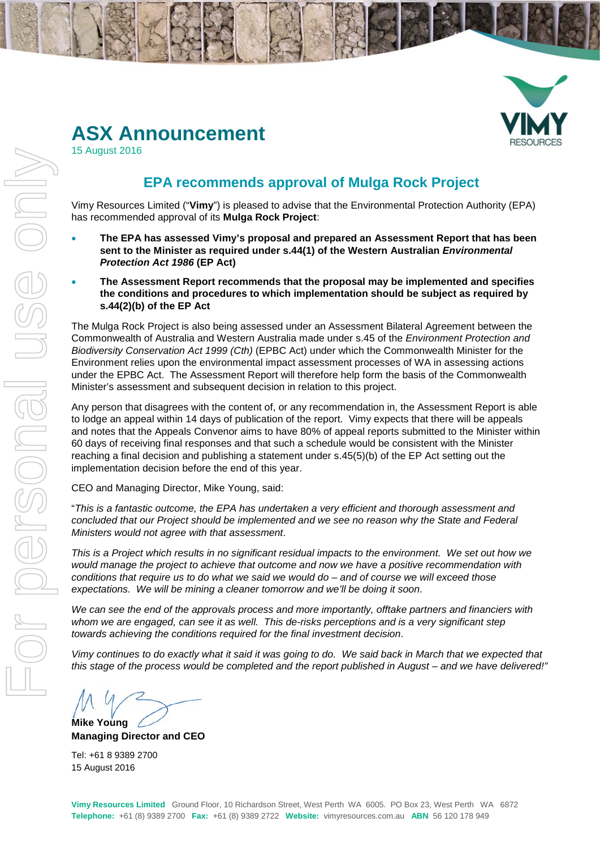

# **ASX Announcement**

15 August 2016

# **EPA recommends approval of Mulga Rock Project**

Vimy Resources Limited ("**Vimy**") is pleased to advise that the Environmental Protection Authority (EPA) has recommended approval of its **Mulga Rock Project**:

- **The EPA has assessed Vimy's proposal and prepared an Assessment Report that has been sent to the Minister as required under s.44(1) of the Western Australian** *Environmental Protection Act 1986* **(EP Act)**
- **The Assessment Report recommends that the proposal may be implemented and specifies the conditions and procedures to which implementation should be subject as required by s.44(2)(b) of the EP Act**

The Mulga Rock Project is also being assessed under an Assessment Bilateral Agreement between the Commonwealth of Australia and Western Australia made under s.45 of the *Environment Protection and Biodiversity Conservation Act 1999 (Cth)* (EPBC Act) under which the Commonwealth Minister for the Environment relies upon the environmental impact assessment processes of WA in assessing actions under the EPBC Act. The Assessment Report will therefore help form the basis of the Commonwealth Minister's assessment and subsequent decision in relation to this project.

Any person that disagrees with the content of, or any recommendation in, the Assessment Report is able to lodge an appeal within 14 days of publication of the report. Vimy expects that there will be appeals and notes that the Appeals Convenor aims to have 80% of appeal reports submitted to the Minister within 60 days of receiving final responses and that such a schedule would be consistent with the Minister reaching a final decision and publishing a statement under s.45(5)(b) of the EP Act setting out the implementation decision before the end of this year.

CEO and Managing Director, Mike Young, said:

"*This is a fantastic outcome, the EPA has undertaken a very efficient and thorough assessment and concluded that our Project should be implemented and we see no reason why the State and Federal Ministers would not agree with that assessment*.

*This is a Project which results in no significant residual impacts to the environment. We set out how we would manage the project to achieve that outcome and now we have a positive recommendation with conditions that require us to do what we said we would do – and of course we will exceed those expectations. We will be mining a cleaner tomorrow and we'll be doing it soon*.

*We can see the end of the approvals process and more importantly, offtake partners and financiers with whom we are engaged, can see it as well. This de-risks perceptions and is a very significant step towards achieving the conditions required for the final investment decision*.

*Vimy continues to do exactly what it said it was going to do. We said back in March that we expected that this stage of the process would be completed and the report published in August – and we have delivered!"*

**Mike Young Managing Director and CEO**

Tel: +61 8 9389 2700 15 August 2016

**Vimy Resources Limited** Ground Floor, 10 Richardson Street, West Perth WA 6005. PO Box 23, West Perth WA 6872 **Telephone:** +61 (8) 9389 2700 **Fax:** +61 (8) 9389 2722 **Website:** vimyresources.com.au **ABN** 56 120 178 949